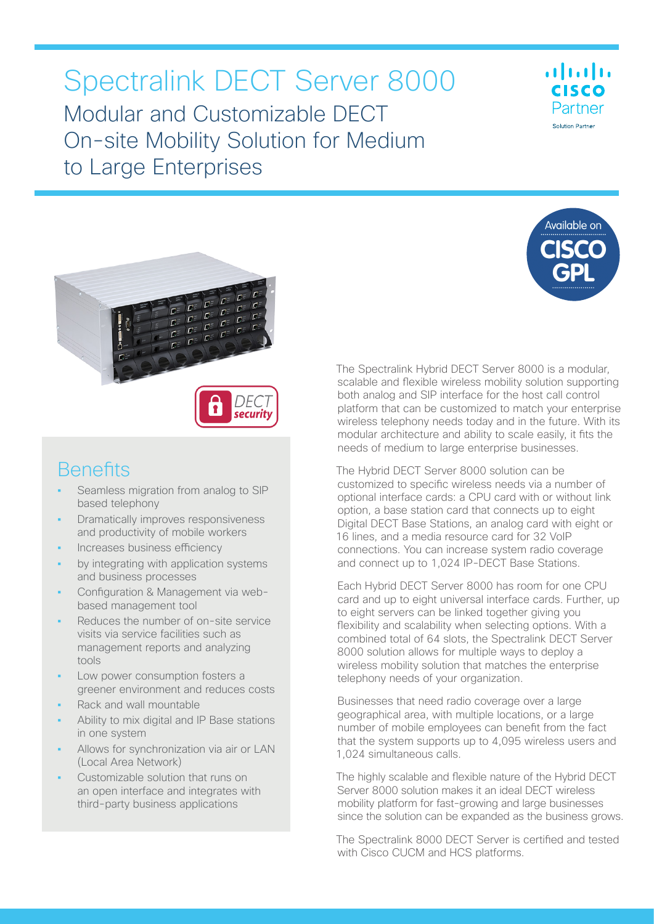# Spectralink DECT Server 8000 Modular and Customizable DECT On-site Mobility Solution for Medium to Large Enterprises







### **Benefits**

- **•** Seamless migration from analog to SIP based telephony
- **•** Dramatically improves responsiveness and productivity of mobile workers
- **•** Increases business efficiency
- **•** by integrating with application systems and business processes
- **•** Configuration & Management via webbased management tool
- **•** Reduces the number of on-site service visits via service facilities such as management reports and analyzing tools
- **•** Low power consumption fosters a greener environment and reduces costs
- **•** Rack and wall mountable
- **•** Ability to mix digital and IP Base stations in one system
- **•** Allows for synchronization via air or LAN (Local Area Network)
- **•** Customizable solution that runs on an open interface and integrates with third-party business applications

The Spectralink Hybrid DECT Server 8000 is a modular, scalable and flexible wireless mobility solution supporting both analog and SIP interface for the host call control platform that can be customized to match your enterprise wireless telephony needs today and in the future. With its modular architecture and ability to scale easily, it fits the needs of medium to large enterprise businesses.

The Hybrid DECT Server 8000 solution can be customized to specific wireless needs via a number of optional interface cards: a CPU card with or without link option, a base station card that connects up to eight Digital DECT Base Stations, an analog card with eight or 16 lines, and a media resource card for 32 VoIP connections. You can increase system radio coverage and connect up to 1,024 IP-DECT Base Stations.

Each Hybrid DECT Server 8000 has room for one CPU card and up to eight universal interface cards. Further, up to eight servers can be linked together giving you flexibility and scalability when selecting options. With a combined total of 64 slots, the Spectralink DECT Server 8000 solution allows for multiple ways to deploy a wireless mobility solution that matches the enterprise telephony needs of your organization.

Businesses that need radio coverage over a large geographical area, with multiple locations, or a large number of mobile employees can benefit from the fact that the system supports up to 4,095 wireless users and 1,024 simultaneous calls.

The highly scalable and flexible nature of the Hybrid DECT Server 8000 solution makes it an ideal DECT wireless mobility platform for fast-growing and large businesses since the solution can be expanded as the business grows.

The Spectralink 8000 DECT Server is certified and tested with Cisco CUCM and HCS platforms.

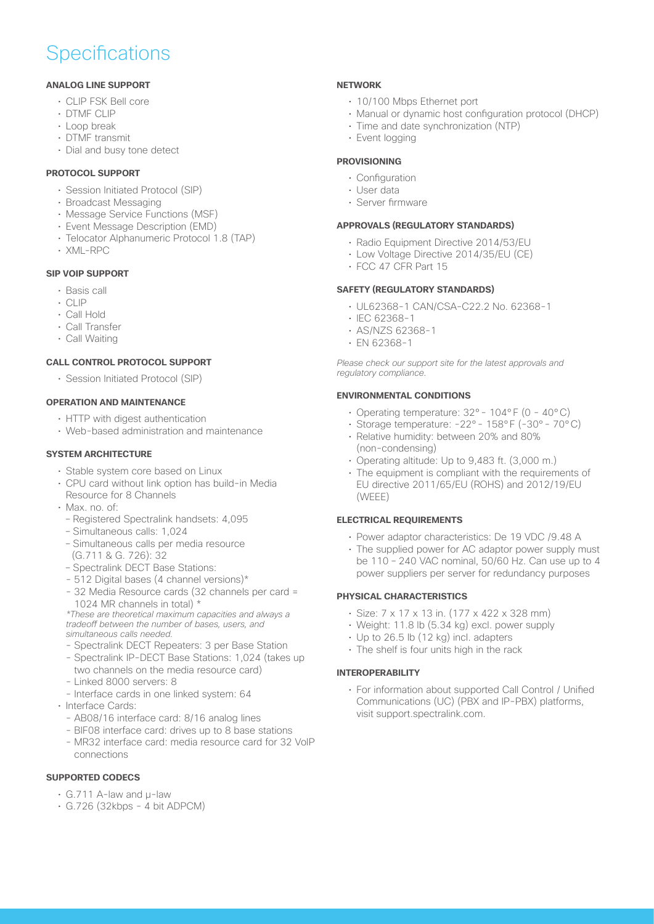## **Specifications**

#### **ANALOG LINE SUPPORT**

- CLIP FSK Bell core
- DTMF CLIP
- Loop break
- DTMF transmit
- Dial and busy tone detect

#### **PROTOCOL SUPPORT**

- Session Initiated Protocol (SIP)
- Broadcast Messaging
- Message Service Functions (MSF)
- Event Message Description (EMD)
- Telocator Alphanumeric Protocol 1.8 (TAP)
- XML-RPC

#### **SIP VOIP SUPPORT**

- Basis call
- CLIP
- Call Hold
- Call Transfer
- Call Waiting

#### **CALL CONTROL PROTOCOL SUPPORT**

• Session Initiated Protocol (SIP)

#### **OPERATION AND MAINTENANCE**

- HTTP with digest authentication
- Web-based administration and maintenance

#### **SYSTEM ARCHITECTURE**

- Stable system core based on Linux
- CPU card without link option has build-in Media Resource for 8 Channels
- Max. no. of:
	- Registered Spectralink handsets: 4,095
	- Simultaneous calls: 1,024
	- Simultaneous calls per media resource (G.711 & G. 726): 32
	- Spectralink DECT Base Stations:
	- 512 Digital bases (4 channel versions)\*
	- 32 Media Resource cards (32 channels per card = 1024 MR channels in total) \*
	- *\*These are theoretical maximum capacities and always a*  tradeoff between the number of bases, users, and *simultaneous calls needed.*
	- Spectralink DECT Repeaters: 3 per Base Station
	- Spectralink IP-DECT Base Stations: 1,024 (takes up two channels on the media resource card)
	- Linked 8000 servers: 8
	- Interface cards in one linked system: 64
- Interface Cards:
	- AB08/16 interface card: 8/16 analog lines
	- BIF08 interface card: drives up to 8 base stations
	- MR32 interface card: media resource card for 32 VoIP connections

#### **SUPPORTED CODECS**

- G.711 A-law and µ-law
- G.726 (32kbps 4 bit ADPCM)

#### **NETWORK**

- 10/100 Mbps Ethernet port
- Manual or dynamic host configuration protocol (DHCP)
- Time and date synchronization (NTP)
- Event logging

#### **PROVISIONING**

- Configuration
- User data
- Server firmware

#### **APPROVALS (REGULATORY STANDARDS)**

- Radio Equipment Directive 2014/53/EU
- Low Voltage Directive 2014/35/EU (CE)
- FCC 47 CFR Part 15

#### **SAFETY (REGULATORY STANDARDS)**

- UL62368-1 CAN/CSA-C22.2 No. 62368-1
- IEC 62368-1
- AS/NZS 62368-1
- EN 62368-1

Please check our support site for the latest approvals and *regulatory compliance.*

#### **ENVIRONMENTAL CONDITIONS**

- Operating temperature: 32°- 104°F (0 40°C)
- Storage temperature: -22°- 158°F (-30°- 70°C)
- Relative humidity: between 20% and 80% (non-condensing)
- Operating altitude: Up to 9,483 ft. (3,000 m.)
- The equipment is compliant with the requirements of EU directive 2011/65/EU (ROHS) and 2012/19/EU (WEEE)

#### **ELECTRICAL REQUIREMENTS**

- Power adaptor characteristics: De 19 VDC /9.48 A
- The supplied power for AC adaptor power supply must be 110 – 240 VAC nominal, 50/60 Hz. Can use up to 4 power suppliers per server for redundancy purposes

#### **PHYSICAL CHARACTERISTICS**

- Size: 7 x 17 x 13 in. (177 x 422 x 328 mm)
- Weight: 11.8 lb (5.34 kg) excl. power supply
- Up to 26.5 lb (12 kg) incl. adapters
- The shelf is four units high in the rack

#### **INTEROPERABILITY**

• For information about supported Call Control / Unified Communications (UC) (PBX and IP-PBX) platforms, visit support.spectralink.com.